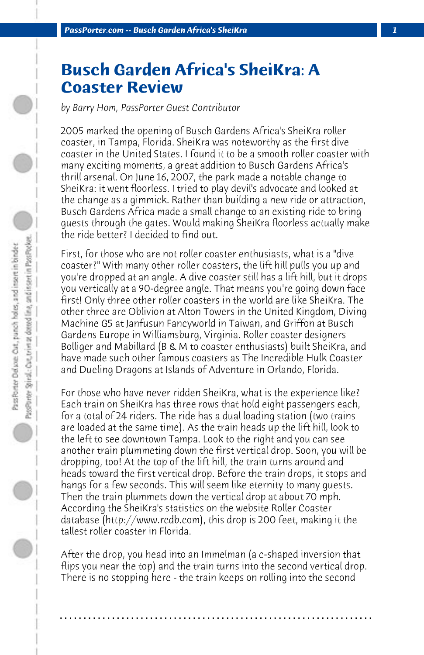## **Busch Garden Africa's SheiKra: A Coaster Review**

*by Barry Hom, PassPorter Guest Contributor*

2005 marked the opening of Busch Gardens Africa's SheiKra roller coaster, in Tampa, Florida. SheiKra was noteworthy as the first dive coaster in the United States. I found it to be a smooth roller coaster with many exciting moments, a great addition to Busch Gardens Africa's thrill arsenal. On June 16, 2007, the park made a notable change to SheiKra: it went floorless. I tried to play devil's advocate and looked at the change as a gimmick. Rather than building a new ride or attraction, Busch Gardens Africa made a small change to an existing ride to bring guests through the gates. Would making SheiKra floorless actually make the ride better? I decided to find out.

First, for those who are not roller coaster enthusiasts, what is a "dive coaster?" With many other roller coasters, the lift hill pulls you up and you're dropped at an angle. A dive coaster still has a lift hill, but it drops you vertically at a 90-degree angle. That means you're going down face first! Only three other roller coasters in the world are like SheiKra. The other three are Oblivion at Alton Towers in the United Kingdom, Diving Machine G5 at Janfusun Fancyworld in Taiwan, and Griffon at Busch Gardens Europe in Williamsburg, Virginia. Roller coaster designers Bolliger and Mabillard (B & M to coaster enthusiasts) built SheiKra, and have made such other famous coasters as The Incredible Hulk Coaster and Dueling Dragons at Islands of Adventure in Orlando, Florida.

For those who have never ridden SheiKra, what is the experience like? Each train on SheiKra has three rows that hold eight passengers each, for a total of 24 riders. The ride has a dual loading station (two trains are loaded at the same time). As the train heads up the lift hill, look to the left to see downtown Tampa. Look to the right and you can see another train plummeting down the first vertical drop. Soon, you will be dropping, too! At the top of the lift hill, the train turns around and heads toward the first vertical drop. Before the train drops, it stops and hangs for a few seconds. This will seem like eternity to many guests. Then the train plummets down the vertical drop at about 70 mph. According the SheiKra's statistics on the website Roller Coaster database (http://www.rcdb.com), this drop is 200 feet, making it the tallest roller coaster in Florida.

After the drop, you head into an Immelman (a c-shaped inversion that flips you near the top) and the train turns into the second vertical drop. There is no stopping here - the train keeps on rolling into the second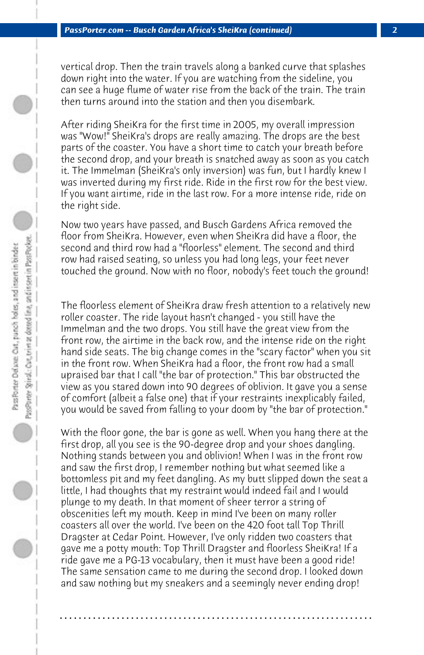vertical drop. Then the train travels along a banked curve that splashes down right into the water. If you are watching from the sideline, you can see a huge flume of water rise from the back of the train. The train then turns around into the station and then you disembark.

After riding SheiKra for the first time in 2005, my overall impression was "Wow!" SheiKra's drops are really amazing. The drops are the best parts of the coaster. You have a short time to catch your breath before the second drop, and your breath is snatched away as soon as you catch it. The Immelman (SheiKra's only inversion) was fun, but I hardly knew I was inverted during my first ride. Ride in the first row for the best view. If you want airtime, ride in the last row. For a more intense ride, ride on the right side.

Now two years have passed, and Busch Gardens Africa removed the floor from SheiKra. However, even when SheiKra did have a floor, the second and third row had a "floorless" element. The second and third row had raised seating, so unless you had long legs, your feet never touched the ground. Now with no floor, nobody's feet touch the ground!

The floorless element of SheiKra draw fresh attention to a relatively new roller coaster. The ride layout hasn't changed - you still have the Immelman and the two drops. You still have the great view from the front row, the airtime in the back row, and the intense ride on the right hand side seats. The big change comes in the "scary factor" when you sit in the front row. When SheiKra had a floor, the front row had a small upraised bar that I call "the bar of protection." This bar obstructed the view as you stared down into 90 degrees of oblivion. It gave you a sense of comfort (albeit a false one) that if your restraints inexplicably failed, you would be saved from falling to your doom by "the bar of protection."

With the floor gone, the bar is gone as well. When you hang there at the first drop, all you see is the 90-degree drop and your shoes dangling. Nothing stands between you and oblivion! When I was in the front row and saw the first drop, I remember nothing but what seemed like a bottomless pit and my feet dangling. As my butt slipped down the seat a little, I had thoughts that my restraint would indeed fail and I would plunge to my death. In that moment of sheer terror a string of obscenities left my mouth. Keep in mind I've been on many roller coasters all over the world. I've been on the 420 foot tall Top Thrill Dragster at Cedar Point. However, I've only ridden two coasters that gave me a potty mouth: Top Thrill Dragster and floorless SheiKra! If a ride gave me a PG-13 vocabulary, then it must have been a good ride! The same sensation came to me during the second drop. I looked down and saw nothing but my sneakers and a seemingly never ending drop!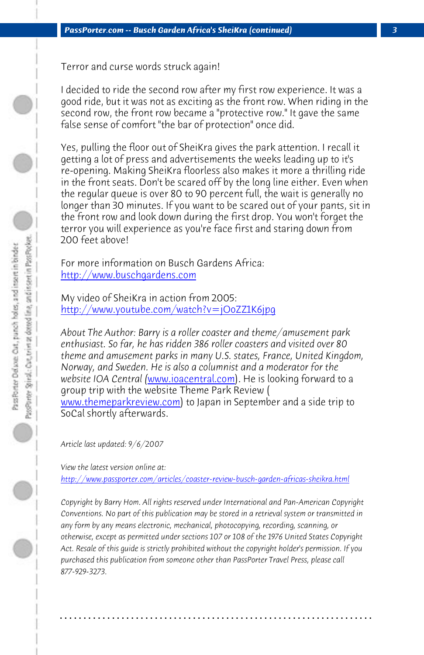*PassPorter.com -- Busch Garden Africa's SheiKra (continued) 3*

Terror and curse words struck again!

[I decided to ride the second row](http://www.buschgardens.com/) after my first row experience. It was a good ride, but it was not as exciting as the front row. When riding in the [second row, the front row became a "protective row](http://www.youtube.com/watch?v=jOoZZ1K6jpg)." It gave the same false sense of comfort "the bar of protection" once did.

Yes, pulling the floor out of SheiKra gives the park attention. I recall it getting a lot of press and advertisements the weeks leading up to it's re-opening. Making SheiKra floorless also makes it more a thrilling ride in the front seats. D[on't be scared off by](http://www.ioacentral.com/) the long line either. Even when the regular queue is over 80 to 90 percent full, the wait is generally no [longer than 30 minutes. If yo](http://www.themeparkreview.com/)u want to be scared out of your pants, sit in the front row and look down during the first drop. You won't forget the terror you will experience as you're face first and staring down from 200 feet above!

For more information on Busch Gardens Africa: http://www.buschgardens.com

My video of SheiKra in action from 2005: http://www.youtube.com/watch?v=jOoZZ1K6jpg

*About The Author: Barry is a roller coaster and theme/amusement park enthusiast. So far, he has ridden 386 roller coasters and visited over 80 theme and amusement parks in many U.S. states, France, United Kingdom, Norway, and Sweden. He is also a columnist and a moderator for the website IOA Central (*www.ioacentral.com). He is looking forward to a group trip with the website Theme Park Review ( www.themeparkreview.com) to Japan in September and a side trip to SoCal shortly afterwards.

*Article last updated: 9/6/2007*

*View the latest version online at:* 

*http://www.passporter.com/articles/coaster-review-busch-garden-africas-sheikra.html*

*Copyright by Barry Hom. All rights reserved under International and Pan-American Copyright Conventions. No part of this publication may be stored in a retrieval system or transmitted in any form by any means electronic, mechanical, photocopying, recording, scanning, or otherwise, except as permitted under sections 107 or 108 of the 1976 United States Copyright Act. Resale of this guide is strictly prohibited without the copyright holder's permission. If you purchased this publication from someone other than PassPorter Travel Press, please call 877-929-3273.*